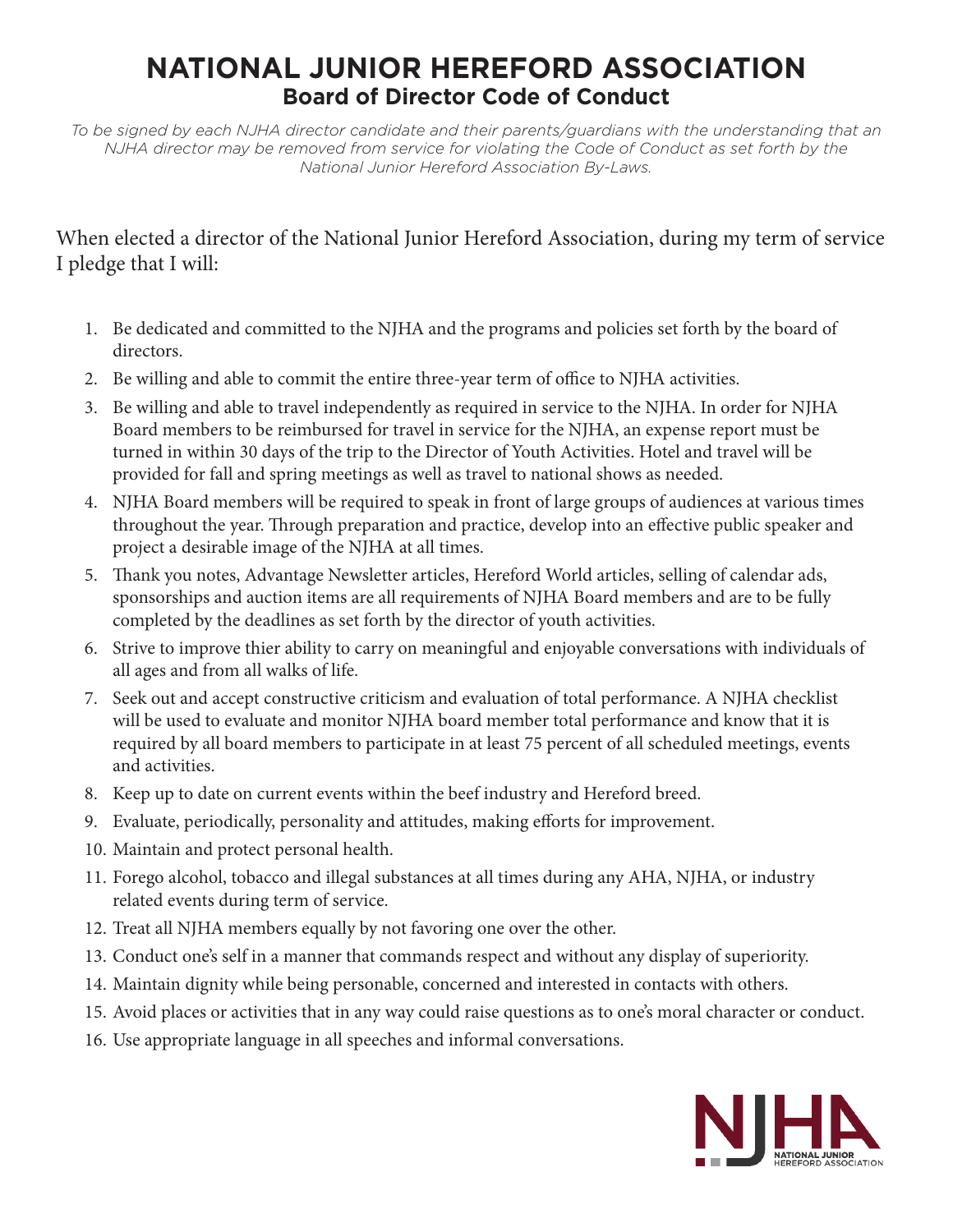## **NATIONAL JUNIOR HEREFORD ASSOCIATION Board of Director Code of Conduct**

*To be signed by each NJHA director candidate and their parents/guardians with the understanding that an NJHA director may be removed from service for violating the Code of Conduct as set forth by the National Junior Hereford Association By-Laws.*

## When elected a director of the National Junior Hereford Association, during my term of service I pledge that I will:

- 1. Be dedicated and committed to the NJHA and the programs and policies set forth by the board of directors.
- 2. Be willing and able to commit the entire three-year term of office to NJHA activities.
- 3. Be willing and able to travel independently as required in service to the NJHA. In order for NJHA Board members to be reimbursed for travel in service for the NJHA, an expense report must be turned in within 30 days of the trip to the Director of Youth Activities. Hotel and travel will be provided for fall and spring meetings as well as travel to national shows as needed.
- 4. NJHA Board members will be required to speak in front of large groups of audiences at various times throughout the year. Through preparation and practice, develop into an effective public speaker and project a desirable image of the NJHA at all times.
- 5. Thank you notes, Advantage Newsletter articles, Hereford World articles, selling of calendar ads, sponsorships and auction items are all requirements of NJHA Board members and are to be fully completed by the deadlines as set forth by the director of youth activities.
- 6. Strive to improve thier ability to carry on meaningful and enjoyable conversations with individuals of all ages and from all walks of life.
- 7. Seek out and accept constructive criticism and evaluation of total performance. A NJHA checklist will be used to evaluate and monitor NJHA board member total performance and know that it is required by all board members to participate in at least 75 percent of all scheduled meetings, events and activities.
- 8. Keep up to date on current events within the beef industry and Hereford breed.
- 9. Evaluate, periodically, personality and attitudes, making efforts for improvement.
- 10. Maintain and protect personal health.
- 11. Forego alcohol, tobacco and illegal substances at all times during any AHA, NJHA, or industry related events during term of service.
- 12. Treat all NJHA members equally by not favoring one over the other.
- 13. Conduct one's self in a manner that commands respect and without any display of superiority.
- 14. Maintain dignity while being personable, concerned and interested in contacts with others.
- 15. Avoid places or activities that in any way could raise questions as to one's moral character or conduct.
- 16. Use appropriate language in all speeches and informal conversations.